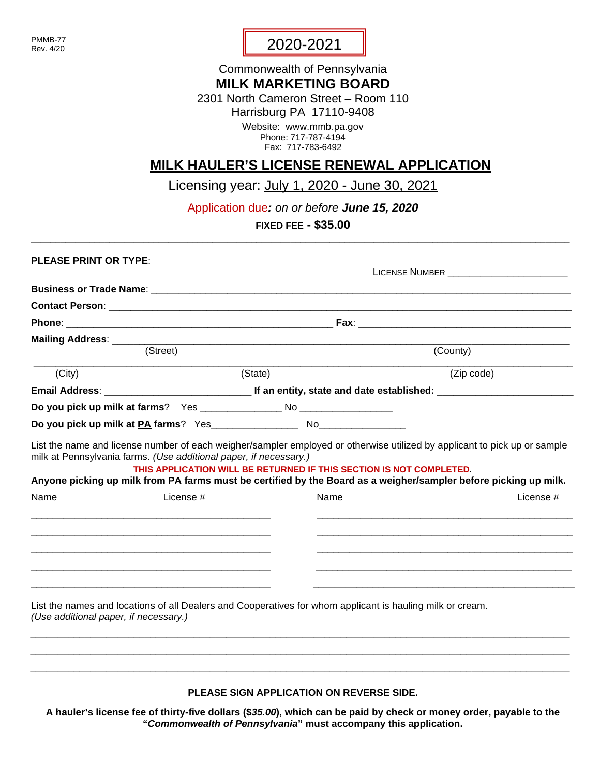PMMB-77 Rev. 4/20

## 2020-2021

## Commonwealth of Pennsylvania **MILK MARKETING BOARD**

2301 North Cameron Street – Room 110 Harrisburg PA 17110-9408

> Website: www.mmb.pa.gov Phone: 717-787-4194 Fax: 717-783-6492

## **MILK HAULER'S LICENSE RENEWAL APPLICATION**

Licensing year: July 1, 2020 - June 30, 2021

Application due*: on or before June 15, 2020*

**FIXED FEE - \$35.00** \_\_\_\_\_\_\_\_\_\_\_\_\_\_\_\_\_\_\_\_\_\_\_\_\_\_\_\_\_\_\_\_\_\_\_\_\_\_\_\_\_\_\_\_\_\_\_\_\_\_\_\_\_\_\_\_\_\_\_\_\_\_\_\_\_\_\_\_\_\_\_\_\_\_\_\_\_\_\_\_\_\_\_\_\_\_\_\_\_\_\_\_\_\_\_\_\_\_\_\_\_\_\_\_\_\_\_\_\_\_

| <b>PLEASE PRINT OR TYPE:</b>          |                                                                                                           |         |      |                                                                                                                               |  |  |
|---------------------------------------|-----------------------------------------------------------------------------------------------------------|---------|------|-------------------------------------------------------------------------------------------------------------------------------|--|--|
|                                       |                                                                                                           |         |      |                                                                                                                               |  |  |
|                                       |                                                                                                           |         |      |                                                                                                                               |  |  |
|                                       |                                                                                                           |         |      |                                                                                                                               |  |  |
|                                       |                                                                                                           |         |      |                                                                                                                               |  |  |
|                                       | (Street)                                                                                                  |         |      | (County)                                                                                                                      |  |  |
| (City)                                |                                                                                                           | (State) |      | (Zip code)                                                                                                                    |  |  |
|                                       |                                                                                                           |         |      |                                                                                                                               |  |  |
|                                       |                                                                                                           |         |      |                                                                                                                               |  |  |
|                                       |                                                                                                           |         |      |                                                                                                                               |  |  |
| Name                                  | License #                                                                                                 |         | Name | Anyone picking up milk from PA farms must be certified by the Board as a weigher/sampler before picking up milk.<br>License # |  |  |
|                                       |                                                                                                           |         |      |                                                                                                                               |  |  |
|                                       |                                                                                                           |         |      |                                                                                                                               |  |  |
| (Use additional paper, if necessary.) | List the names and locations of all Dealers and Cooperatives for whom applicant is hauling milk or cream. |         |      |                                                                                                                               |  |  |
|                                       |                                                                                                           |         |      |                                                                                                                               |  |  |

**PLEASE SIGN APPLICATION ON REVERSE SIDE.**

*\_\_\_\_\_\_\_\_\_\_\_\_\_\_\_\_\_\_\_\_\_\_\_\_\_\_\_\_\_\_\_\_\_\_\_\_\_\_\_\_\_\_\_\_\_\_\_\_\_\_\_\_\_\_\_\_\_\_\_\_\_\_\_\_\_\_\_\_\_\_\_\_\_\_\_\_\_\_\_\_\_\_\_\_\_\_\_\_\_\_\_\_\_\_\_\_\_\_\_*

**A hauler's license fee of thirty-five dollars (\$***35.00***), which can be paid by check or money order, payable to the "***Commonwealth of Pennsylvania***" must accompany this application.**